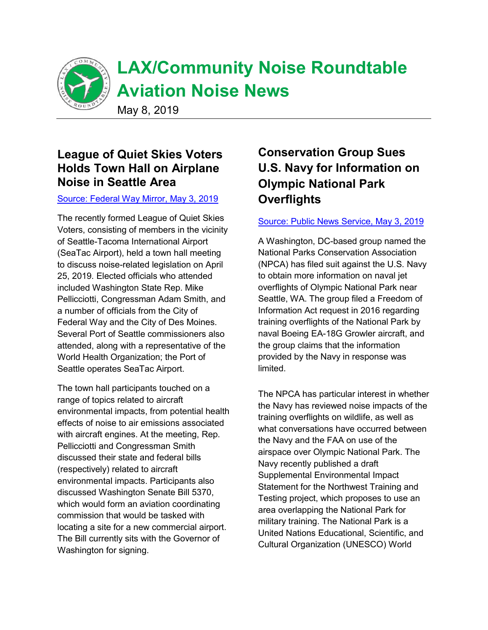

# **LAX/Community Noise Roundtable Aviation Noise News**

May 8, 2019

# **League of Quiet Skies Voters Holds Town Hall on Airplane Noise in Seattle Area**

#### Source: Federal Way Mirror, May 3, 2019

The recently formed League of Quiet Skies Voters, consisting of members in the vicinity of Seattle-Tacoma International Airport (SeaTac Airport), held a town hall meeting to discuss noise-related legislation on April 25, 2019. Elected officials who attended included Washington State Rep. Mike Pellicciotti, Congressman Adam Smith, and a number of officials from the City of Federal Way and the City of Des Moines. Several Port of Seattle commissioners also attended, along with a representative of the World Health Organization; the Port of Seattle operates SeaTac Airport.

The town hall participants touched on a range of topics related to aircraft environmental impacts, from potential health effects of noise to air emissions associated with aircraft engines. At the meeting, Rep. Pellicciotti and Congressman Smith discussed their state and federal bills (respectively) related to aircraft environmental impacts. Participants also discussed Washington Senate Bill 5370, which would form an aviation coordinating commission that would be tasked with locating a site for a new commercial airport. The Bill currently sits with the Governor of Washington for signing.

# **Conservation Group Sues U.S. Navy for Information on Olympic National Park Overflights**

#### Source: Public News Service, May 3, 2019

A Washington, DC-based group named the National Parks Conservation Association (NPCA) has filed suit against the U.S. Navy to obtain more information on naval jet overflights of Olympic National Park near Seattle, WA. The group filed a Freedom of Information Act request in 2016 regarding training overflights of the National Park by naval Boeing EA-18G Growler aircraft, and the group claims that the information provided by the Navy in response was limited.

The NPCA has particular interest in whether the Navy has reviewed noise impacts of the training overflights on wildlife, as well as what conversations have occurred between the Navy and the FAA on use of the airspace over Olympic National Park. The Navy recently published a draft Supplemental Environmental Impact Statement for the Northwest Training and Testing project, which proposes to use an area overlapping the National Park for military training. The National Park is a United Nations Educational, Scientific, and Cultural Organization (UNESCO) World